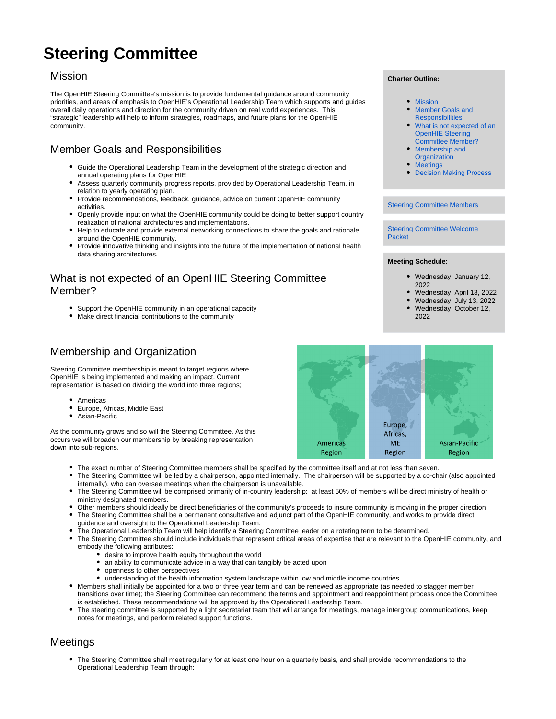# **Steering Committee**

### <span id="page-0-0"></span>Mission

The OpenHIE Steering Committee's mission is to provide fundamental guidance around community priorities, and areas of emphasis to OpenHIE's Operational Leadership Team which supports and guides overall daily operations and direction for the community driven on real world experiences. This "strategic" leadership will help to inform strategies, roadmaps, and future plans for the OpenHIE community.

# <span id="page-0-1"></span>Member Goals and Responsibilities

- Guide the Operational Leadership Team in the development of the strategic direction and annual operating plans for OpenHIE
- Assess quarterly community progress reports, provided by Operational Leadership Team, in relation to yearly operating plan.
- Provide recommendations, feedback, guidance, advice on current OpenHIE community activities.
- Openly provide input on what the OpenHIE community could be doing to better support country realization of national architectures and implementations.
- Help to educate and provide external networking connections to share the goals and rationale around the OpenHIE community.
- Provide innovative thinking and insights into the future of the implementation of national health data sharing architectures.

## <span id="page-0-2"></span>What is not expected of an OpenHIE Steering Committee Member?

- Support the OpenHIE community in an operational capacity
- Make direct financial contributions to the community

# <span id="page-0-3"></span>Membership and Organization

Steering Committee membership is meant to target regions where OpenHIE is being implemented and making an impact. Current representation is based on dividing the world into three regions;

- Americas
- Europe, Africas, Middle East
- $\bullet$ Asian-Pacific

As the community grows and so will the Steering Committee. As this occurs we will broaden our membership by breaking representation down into sub-regions.

- The exact number of Steering Committee members shall be specified by the committee itself and at not less than seven.
- The Steering Committee will be led by a chairperson, appointed internally. The chairperson will be supported by a co-chair (also appointed internally), who can oversee meetings when the chairperson is unavailable.
- The Steering Committee will be comprised primarily of in-country leadership: at least 50% of members will be direct ministry of health or ministry designated members.
- Other members should ideally be direct beneficiaries of the community's proceeds to insure community is moving in the proper direction The Steering Committee shall be a permanent consultative and adjunct part of the OpenHIE community, and works to provide direct
- guidance and oversight to the Operational Leadership Team.
- The Operational Leadership Team will help identify a Steering Committee leader on a rotating term to be determined.
- The Steering Committee should include individuals that represent critical areas of expertise that are relevant to the OpenHIE community, and embody the following attributes:
	- $\bullet$  desire to improve health equity throughout the world
	- $\bullet$ an ability to communicate advice in a way that can tangibly be acted upon
	- openness to other perspectives
	- understanding of the health information system landscape within low and middle income countries
- Members shall initially be appointed for a two or three year term and can be renewed as appropriate (as needed to stagger member transitions over time); the Steering Committee can recommend the terms and appointment and reappointment process once the Committee is established. These recommendations will be approved by the Operational Leadership Team.
- The steering committee is supported by a light secretariat team that will arrange for meetings, manage intergroup communications, keep notes for meetings, and perform related support functions.

## <span id="page-0-4"></span>Meetings

The Steering Committee shall meet regularly for at least one hour on a quarterly basis, and shall provide recommendations to the Operational Leadership Team through:

#### **Charter Outline:**

- [Mission](#page-0-0)
- $\bullet$ [Member Goals and](#page-0-1)  **[Responsibilities](#page-0-1)**
- [What is not expected of an](#page-0-2)  [OpenHIE Steering](#page-0-2)  [Committee Member?](#page-0-2)
- [Membership and](#page-0-3)
- **[Organization](#page-0-3)** • [Meetings](#page-0-4)
- [Decision Making Process](#page-1-0)

#### [Steering Committee Members](https://wiki.ohie.org/display/documents/Steering+Committee+Members)

[Steering Committee Welcome](https://docs.google.com/document/d/1zyL8dZSLCLhQ2-zIcVhkpfdrR1XGzXdNTbl0u8nnYF8/edit?usp=sharing)  [Packet](https://docs.google.com/document/d/1zyL8dZSLCLhQ2-zIcVhkpfdrR1XGzXdNTbl0u8nnYF8/edit?usp=sharing)

#### **Meeting Schedule:**

- Wednesday, January 12, 2022
- Wednesday, April 13, 2022
- Wednesday, July 13, 2022 Wednesday, October 12, 2022